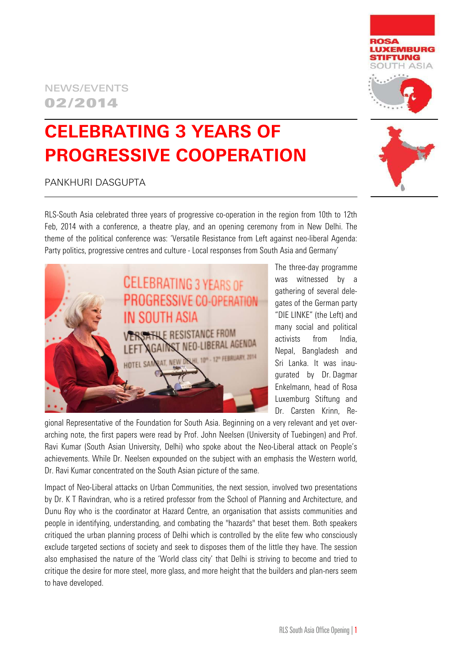## NEWS/EVENTS 02/2014

# **CELEBRATING 3 YEARS OF PROGRESSIVE COOPERATION**

### PANKHURI DASGUPTA

RLS-South Asia celebrated three years of progressive co-operation in the region from 10th to 12th Feb, 2014 with a conference, a theatre play, and an opening ceremony from in New Delhi. The theme of the political conference was: 'Versatile Resistance from Left against neo-liberal Agenda: Party politics, progressive centres and culture - Local responses from South Asia and Germany'

> The three-day programme was witnessed by a gathering of several delegates of the German party "DIE LINKE" (the Left) and many social and political activists from India, Nepal, Bangladesh and Sri Lanka. It was inaugurated by Dr. Dagmar Enkelmann, head of Rosa Luxemburg Stiftung and Dr. Carsten Krinn, Re-

gional Representative of the Foundation for South Asia. Beginning on a very relevant and yet overarching note, the first papers were read by Prof. John Neelsen (University of Tuebingen) and Prof. Ravi Kumar (South Asian University, Delhi) who spoke about the Neo-Liberal attack on People's achievements. While Dr. Neelsen expounded on the subject with an emphasis the Western world, Dr. Ravi Kumar concentrated on the South Asian picture of the same.

Impact of Neo-Liberal attacks on Urban Communities, the next session, involved two presentations by Dr. K T Ravindran, who is a retired professor from the School of Planning and Architecture, and Dunu Roy who is the coordinator at Hazard Centre, an organisation that assists communities and people in identifying, understanding, and combating the "hazards" that beset them. Both speakers critiqued the urban planning process of Delhi which is controlled by the elite few who consciously exclude targeted sections of society and seek to disposes them of the little they have. The session also emphasised the nature of the 'World class city' that Delhi is striving to become and tried to critique the desire for more steel, more glass, and more height that the builders and plan-ners seem to have developed.





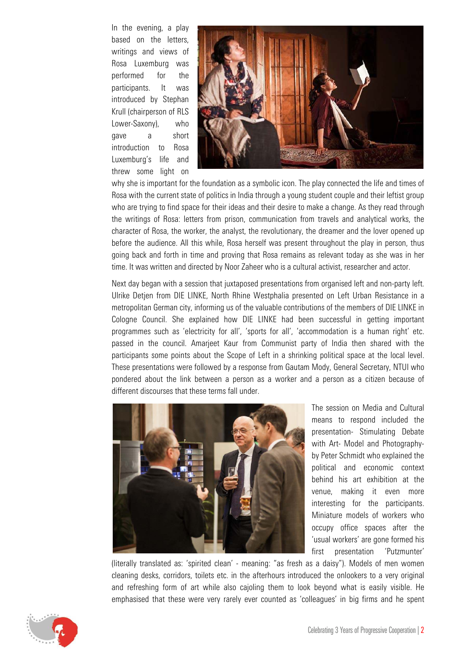In the evening, a play based on the letters, writings and views of Rosa Luxemburg was performed for the participants. It was introduced by Stephan Krull (chairperson of RLS Lower-Saxony), who gave a short introduction to Rosa Luxemburg's life and threw some light on



why she is important for the foundation as a symbolic icon. The play connected the life and times of Rosa with the current state of politics in India through a young student couple and their leftist group who are trying to find space for their ideas and their desire to make a change. As they read through the writings of Rosa: letters from prison, communication from travels and analytical works, the character of Rosa, the worker, the analyst, the revolutionary, the dreamer and the lover opened up before the audience. All this while, Rosa herself was present throughout the play in person, thus going back and forth in time and proving that Rosa remains as relevant today as she was in her time. It was written and directed by Noor Zaheer who is a cultural activist, researcher and actor.

Next day began with a session that juxtaposed presentations from organised left and non-party left. Ulrike Detjen from DIE LINKE, North Rhine Westphalia presented on Left Urban Resistance in a metropolitan German city, informing us of the valuable contributions of the members of DIE LINKE in Cologne Council. She explained how DIE LINKE had been successful in getting important programmes such as 'electricity for all', 'sports for all', 'accommodation is a human right' etc. passed in the council. Amarjeet Kaur from Communist party of India then shared with the participants some points about the Scope of Left in a shrinking political space at the local level. These presentations were followed by a response from Gautam Mody, General Secretary, NTUI who pondered about the link between a person as a worker and a person as a citizen because of different discourses that these terms fall under.



The session on Media and Cultural means to respond included the presentation- Stimulating Debate with Art- Model and Photographyby Peter Schmidt who explained the political and economic context behind his art exhibition at the venue, making it even more interesting for the participants. Miniature models of workers who occupy office spaces after the 'usual workers' are gone formed his first presentation 'Putzmunter'

(literally translated as: 'spirited clean' - meaning: "as fresh as a daisy"). Models of men women cleaning desks, corridors, toilets etc. in the afterhours introduced the onlookers to a very original and refreshing form of art while also cajoling them to look beyond what is easily visible. He emphasised that these were very rarely ever counted as 'colleagues' in big firms and he spent

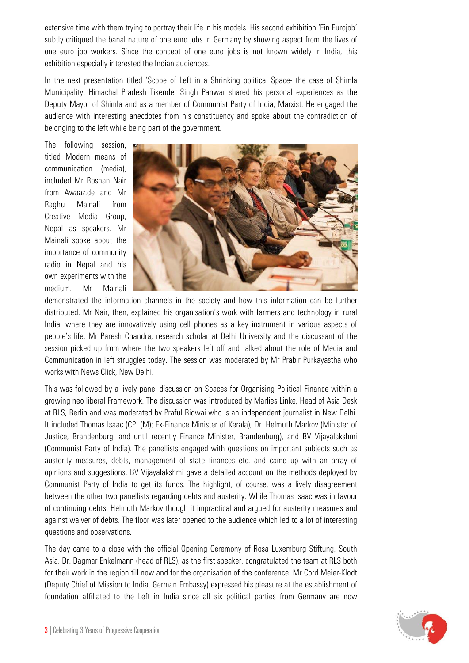extensive time with them trying to portray their life in his models. His second exhibition 'Ein Eurojob' subtly critiqued the banal nature of one euro jobs in Germany by showing aspect from the lives of one euro job workers. Since the concept of one euro jobs is not known widely in India, this exhibition especially interested the Indian audiences.

In the next presentation titled 'Scope of Left in a Shrinking political Space- the case of Shimla Municipality, Himachal Pradesh Tikender Singh Panwar shared his personal experiences as the Deputy Mayor of Shimla and as a member of Communist Party of India, Marxist. He engaged the audience with interesting anecdotes from his constituency and spoke about the contradiction of belonging to the left while being part of the government.

The following session, titled Modern means of communication (media), included Mr Roshan Nair from Awaaz.de and Mr Raghu Mainali from Creative Media Group, Nepal as speakers. Mr Mainali spoke about the importance of community radio in Nepal and his own experiments with the medium. Mr Mainali



demonstrated the information channels in the society and how this information can be further distributed. Mr Nair, then, explained his organisation's work with farmers and technology in rural India, where they are innovatively using cell phones as a key instrument in various aspects of people's life. Mr Paresh Chandra, research scholar at Delhi University and the discussant of the session picked up from where the two speakers left off and talked about the role of Media and Communication in left struggles today. The session was moderated by Mr Prabir Purkayastha who works with News Click, New Delhi.

This was followed by a lively panel discussion on Spaces for Organising Political Finance within a growing neo liberal Framework. The discussion was introduced by Marlies Linke, Head of Asia Desk at RLS, Berlin and was moderated by Praful Bidwai who is an independent journalist in New Delhi. It included Thomas Isaac (CPI (M); Ex-Finance Minister of Kerala), Dr. Helmuth Markov (Minister of Justice, Brandenburg, and until recently Finance Minister, Brandenburg), and BV Vijayalakshmi (Communist Party of India). The panellists engaged with questions on important subjects such as austerity measures, debts, management of state finances etc. and came up with an array of opinions and suggestions. BV Vijayalakshmi gave a detailed account on the methods deployed by Communist Party of India to get its funds. The highlight, of course, was a lively disagreement between the other two panellists regarding debts and austerity. While Thomas Isaac was in favour of continuing debts, Helmuth Markov though it impractical and argued for austerity measures and against waiver of debts. The floor was later opened to the audience which led to a lot of interesting questions and observations.

The day came to a close with the official Opening Ceremony of Rosa Luxemburg Stiftung, South Asia. Dr. Dagmar Enkelmann (head of RLS), as the first speaker, congratulated the team at RLS both for their work in the region till now and for the organisation of the conference. Mr Cord Meier-Klodt (Deputy Chief of Mission to India, German Embassy) expressed his pleasure at the establishment of foundation affiliated to the Left in India since all six political parties from Germany are now

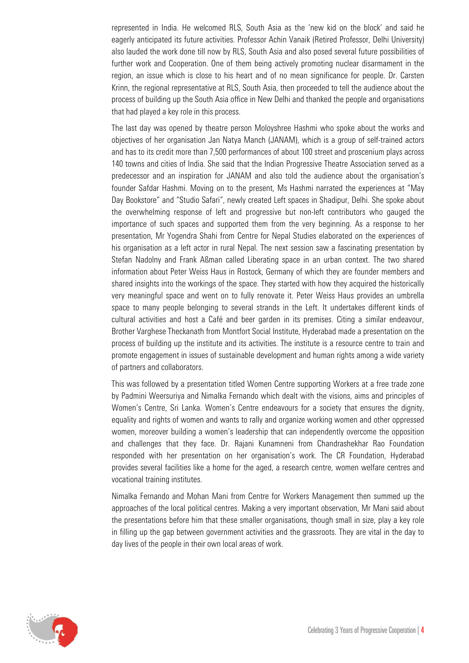represented in India. He welcomed RLS, South Asia as the 'new kid on the block' and said he eagerly anticipated its future activities. Professor Achin Vanaik (Retired Professor, Delhi University) also lauded the work done till now by RLS, South Asia and also posed several future possibilities of further work and Cooperation. One of them being actively promoting nuclear disarmament in the region, an issue which is close to his heart and of no mean significance for people. Dr. Carsten Krinn, the regional representative at RLS, South Asia, then proceeded to tell the audience about the process of building up the South Asia office in New Delhi and thanked the people and organisations that had played a key role in this process.

The last day was opened by theatre person Moloyshree Hashmi who spoke about the works and objectives of her organisation Jan Natya Manch (JANAM), which is a group of self-trained actors and has to its credit more than 7,500 performances of about 100 street and proscenium plays across 140 towns and cities of India. She said that the Indian Progressive Theatre Association served as a predecessor and an inspiration for JANAM and also told the audience about the organisation's founder Safdar Hashmi. Moving on to the present, Ms Hashmi narrated the experiences at "May Day Bookstore" and "Studio Safari", newly created Left spaces in Shadipur, Delhi. She spoke about the overwhelming response of left and progressive but non-left contributors who gauged the importance of such spaces and supported them from the very beginning. As a response to her presentation, Mr Yogendra Shahi from Centre for Nepal Studies elaborated on the experiences of his organisation as a left actor in rural Nepal. The next session saw a fascinating presentation by Stefan Nadolny and Frank Aßman called Liberating space in an urban context. The two shared information about Peter Weiss Haus in Rostock, Germany of which they are founder members and shared insights into the workings of the space. They started with how they acquired the historically very meaningful space and went on to fully renovate it. Peter Weiss Haus provides an umbrella space to many people belonging to several strands in the Left. It undertakes different kinds of cultural activities and host a Café and beer garden in its premises. Citing a similar endeavour, Brother Varghese Theckanath from Montfort Social Institute, Hyderabad made a presentation on the process of building up the institute and its activities. The institute is a resource centre to train and promote engagement in issues of sustainable development and human rights among a wide variety of partners and collaborators.

This was followed by a presentation titled Women Centre supporting Workers at a free trade zone by Padmini Weersuriya and Nimalka Fernando which dealt with the visions, aims and principles of Women's Centre, Sri Lanka. Women's Centre endeavours for a society that ensures the dignity, equality and rights of women and wants to rally and organize working women and other oppressed women, moreover building a women's leadership that can independently overcome the opposition and challenges that they face. Dr. Rajani Kunamneni from Chandrashekhar Rao Foundation responded with her presentation on her organisation's work. The CR Foundation, Hyderabad provides several facilities like a home for the aged, a research centre, women welfare centres and vocational training institutes.

Nimalka Fernando and Mohan Mani from Centre for Workers Management then summed up the approaches of the local political centres. Making a very important observation, Mr Mani said about the presentations before him that these smaller organisations, though small in size, play a key role in filling up the gap between government activities and the grassroots. They are vital in the day to day lives of the people in their own local areas of work.